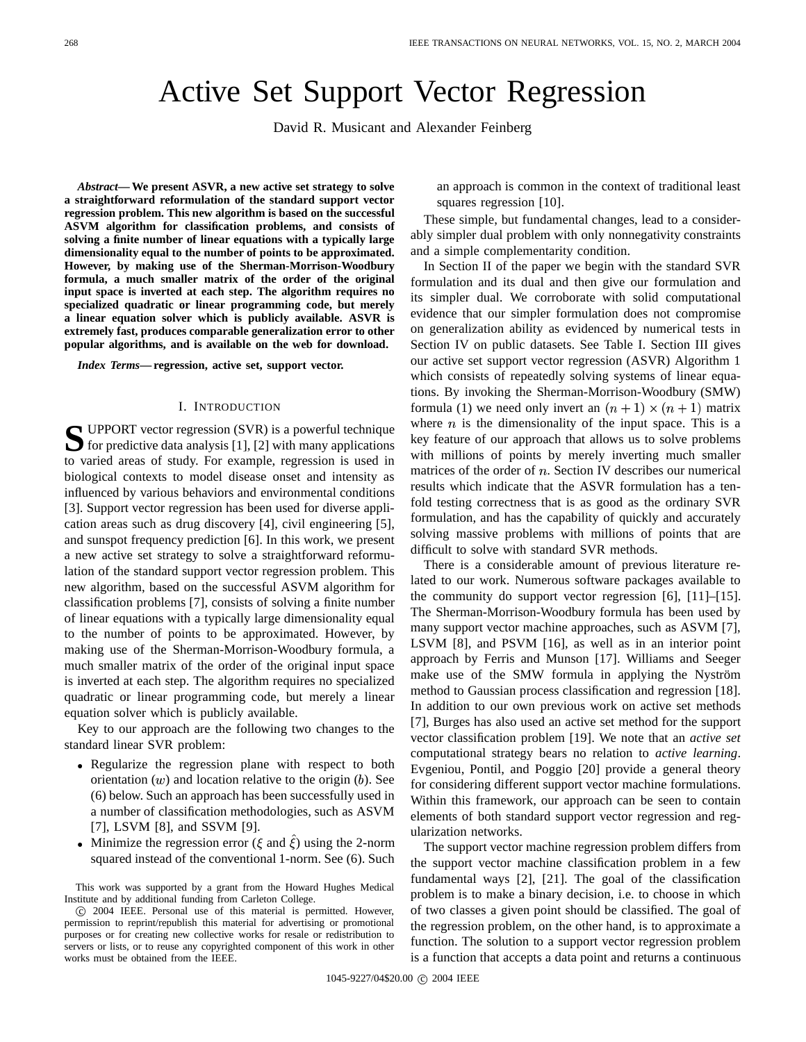# Active Set Support Vector Regression

David R. Musicant and Alexander Feinberg

*Abstract***— We present ASVR, a new active set strategy to solve a straightforward reformulation of the standard support vector regression problem. This new algorithm is based on the successful ASVM algorithm for classification problems, and consists of solving a finite number of linear equations with a typically large dimensionality equal to the number of points to be approximated. However, by making use of the Sherman-Morrison-Woodbury formula, a much smaller matrix of the order of the original input space is inverted at each step. The algorithm requires no specialized quadratic or linear programming code, but merely a linear equation solver which is publicly available. ASVR is extremely fast, produces comparable generalization error to other popular algorithms, and is available on the web for download.**

*Index Terms***—regression, active set, support vector.**

#### I. INTRODUCTION

**S** UPPORT vector regression (SVR) is a powerful technique<br>for predictive data analysis [1], [2] with many applications UPPORT vector regression (SVR) is a powerful technique to varied areas of study. For example, regression is used in biological contexts to model disease onset and intensity as influenced by various behaviors and environmental conditions [3]. Support vector regression has been used for diverse application areas such as drug discovery [4], civil engineering [5], and sunspot frequency prediction [6]. In this work, we present a new active set strategy to solve a straightforward reformulation of the standard support vector regression problem. This new algorithm, based on the successful ASVM algorithm for classification problems [7], consists of solving a finite number of linear equations with a typically large dimensionality equal to the number of points to be approximated. However, by making use of the Sherman-Morrison-Woodbury formula, a much smaller matrix of the order of the original input space is inverted at each step. The algorithm requires no specialized quadratic or linear programming code, but merely a linear equation solver which is publicly available.

Key to our approach are the following two changes to the standard linear SVR problem:

- Regularize the regression plane with respect to both orientation  $(w)$  and location relative to the origin  $(b)$ . See (6) below. Such an approach has been successfully used in a number of classification methodologies, such as ASVM [7], LSVM [8], and SSVM [9].
- Minimize the regression error ( $\xi$  and  $\xi$ ) using the 2-norm squared instead of the conventional 1-norm. See (6). Such

an approach is common in the context of traditional least squares regression [10].

These simple, but fundamental changes, lead to a considerably simpler dual problem with only nonnegativity constraints and a simple complementarity condition.

In Section II of the paper we begin with the standard SVR formulation and its dual and then give our formulation and its simpler dual. We corroborate with solid computational evidence that our simpler formulation does not compromise on generalization ability as evidenced by numerical tests in Section IV on public datasets. See Table I. Section III gives our active set support vector regression (ASVR) Algorithm 1 which consists of repeatedly solving systems of linear equations. By invoking the Sherman-Morrison-Woodbury (SMW) formula (1) we need only invert an  $(n + 1) \times (n + 1)$  matrix where  $n$  is the dimensionality of the input space. This is a key feature of our approach that allows us to solve problems with millions of points by merely inverting much smaller matrices of the order of  $n$ . Section IV describes our numerical results which indicate that the ASVR formulation has a tenfold testing correctness that is as good as the ordinary SVR formulation, and has the capability of quickly and accurately solving massive problems with millions of points that are difficult to solve with standard SVR methods.

 Evgeniou, Pontil, and Poggio [20] provide a general theory There is a considerable amount of previous literature related to our work. Numerous software packages available to the community do support vector regression [6], [11]–[15]. The Sherman-Morrison-Woodbury formula has been used by many support vector machine approaches, such as ASVM [7], LSVM [8], and PSVM [16], as well as in an interior point approach by Ferris and Munson [17]. Williams and Seeger make use of the SMW formula in applying the Nyström method to Gaussian process classification and regression [18]. In addition to our own previous work on active set methods [7], Burges has also used an active set method for the support vector classification problem [19]. We note that an *active set* computational strategy bears no relation to *active learning*. for considering different support vector machine formulations. Within this framework, our approach can be seen to contain elements of both standard support vector regression and regularization networks.

The support vector machine regression problem differs from the support vector machine classification problem in a few fundamental ways [2], [21]. The goal of the classification problem is to make a binary decision, i.e. to choose in which of two classes a given point should be classified. The goal of the regression problem, on the other hand, is to approximate a function. The solution to a support vector regression problem is a function that accepts a data point and returns a continuous

1045-9227/04\$20.00 © 2004 IEEE

This work was supported by a grant from the Howard Hughes Medical Institute and by additional funding from Carleton College.

c 2004 IEEE. Personal use of this material is permitted. However, permission to reprint/republish this material for advertising or promotional purposes or for creating new collective works for resale or redistribution to servers or lists, or to reuse any copyrighted component of this work in other works must be obtained from the IEEE.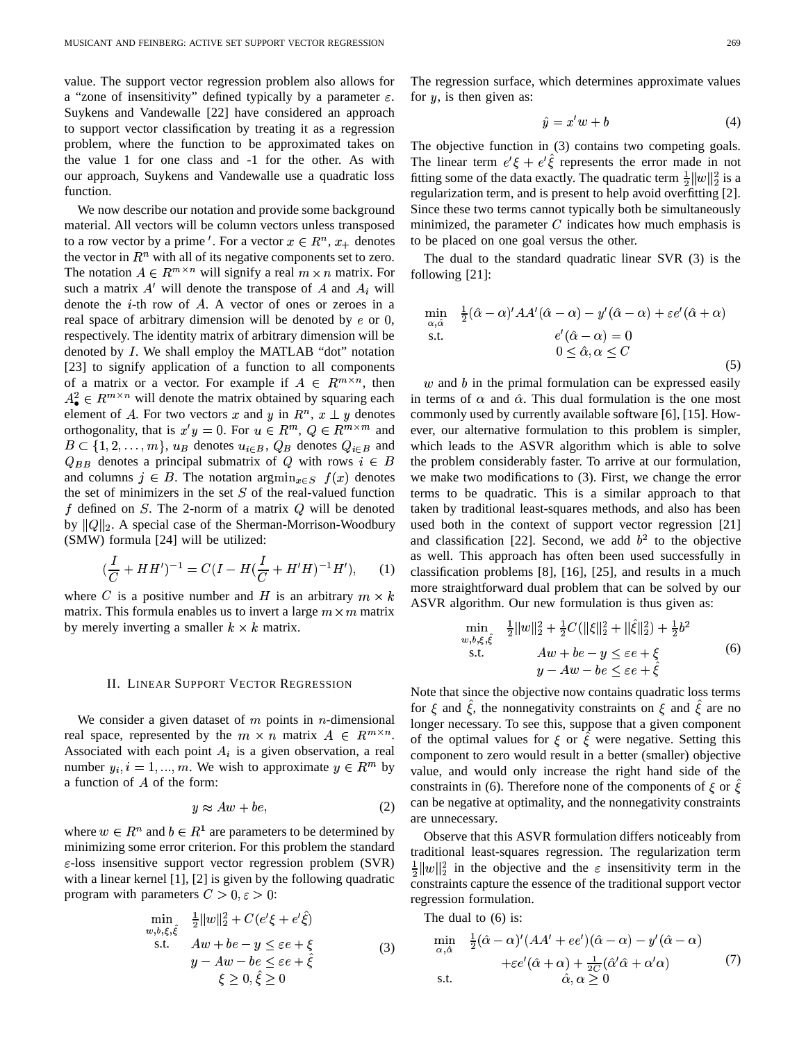value. The support vector regression problem also allows for a "zone of insensitivity" defined typically by a parameter  $\varepsilon$ . Suykens and Vandewalle [22] have considered an approach to support vector classification by treating it as a regression problem, where the function to be approximated takes on the value 1 for one class and -1 for the other. As with our approach, Suykens and Vandewalle use a quadratic loss function.

We now describe our notation and provide some background material. All vectors will be column vectors unless transposed to a row vector by a prime '. For a vector  $x \in \mathbb{R}^n$ ,  $x_+$  denotes the vector in  $\mathbb{R}^n$  with all of its negative components set to zero. The notation  $A \in \mathbb{R}^{m \times n}$  will signify a real  $m \times n$  matrix. For such a matrix  $A'$  will denote the transpose of A and  $A_i$  will denote the  $i$ -th row of  $A$ . A vector of ones or zeroes in a real space of arbitrary dimension will be denoted by  $e$  or  $0$ , respectively. The identity matrix of arbitrary dimension will be denoted by  $I$ . We shall employ the MATLAB "dot" notation [23] to signify application of a function to all components of a matrix or a vector. For example if  $A \in \mathbb{R}^{m \times n}$ , then  $A^2_{\bullet} \in R^{m \times n}$  will denote the matrix obtained by squaring each element of A. For two vectors x and y in  $R<sup>n</sup>$ ,  $x \perp y$  denotes orthogonality, that is  $x'y = 0$ . For  $u \in R^m$ ,  $Q \in R^{m \times m}$  and ever, or  $B \subset \{1,2,\ldots,m\}, u_B$  denotes  $u_{i \in B}$ ,  $Q_B$  denotes  $Q_{i \in B}$  and whic  $Q_{BB}$  denotes a principal submatrix of Q with rows  $i \in B$ and columns  $j \in B$ . The notation  $\argmin_{x \in S} f(x)$  denotes the set of minimizers in the set  $S$  of the real-valued function f defined on  $S$ . The 2-norm of a matrix  $Q$  will be denoted by  $||Q||_2$ . A special case of the Sherman-Morrison-Woodbury (SMW) formula [24] will be utilized:

$$
(\frac{I}{C} + HH')^{-1} = C(I - H(\frac{I}{C} + H'H)^{-1}H'), \quad (1)
$$

where C is a positive number and H is an arbitrary  $m \times k$  as  $N\Gamma$ matrix. This formula enables us to invert a large  $m \times m$  matrix by merely inverting a smaller  $k \times k$  matrix.

#### II. LINEAR SUPPORT VECTOR REGRESSION

We consider a given dataset of  $m$  points in  $n$ -dimensional real space, represented by the  $m \times n$  matrix  $A \in \mathbb{R}^{m \times n}$ . Associated with each point  $A_i$  is a given observation, a real number  $y_i, i = 1, ..., m$ . We wish to approximate  $y \in R^m$  by a function of  $A$  of the form:

$$
y \approx Aw + be,\tag{2}
$$

where  $w \in R^n$  and  $b \in R^1$  are parameters to be determined by minimizing some error criterion. For this problem the standard  $\varepsilon$ -loss insensitive support vector regression problem (SVR) with a linear kernel [1], [2] is given by the following quadratic program with parameters  $C > 0, \varepsilon > 0$ :

$$
\min_{w,b,\xi,\hat{\xi}} \quad \frac{1}{2} \|w\|_2^2 + C(e^{\prime}\xi + e^{\prime}\hat{\xi})
$$
\ns.t. 
$$
Aw + be - y \le \varepsilon e + \xi
$$
\n
$$
y - Aw - be \le \varepsilon e + \hat{\xi}
$$
\n
$$
\xi \ge 0, \hat{\xi} \ge 0
$$
\n(3)

The regression surface, which determines approximate values for  $y$ , is then given as:

$$
\hat{y} = x'w + b \tag{4}
$$

The objective function in (3) contains two competing goals. The linear term  $e^{\prime}\xi + e^{\prime}\xi$  represents the error made in not fitting some of the data exactly. The quadratic term  $\frac{1}{2} ||w||_2^2$  is a regularization term, and is present to help avoid overfitting  $[2]$ . Since these two terms cannot typically both be simultaneously minimized, the parameter  $C$  indicates how much emphasis is to be placed on one goal versus the other.

The dual to the standard quadratic linear SVR (3) is the following [21]:

$$
\min_{\alpha,\hat{\alpha}} \quad \frac{1}{2}(\hat{\alpha} - \alpha)' A A'(\hat{\alpha} - \alpha) - y'(\hat{\alpha} - \alpha) + \varepsilon e'(\hat{\alpha} + \alpha)
$$
\n
$$
\text{s.t.} \quad e'(\hat{\alpha} - \alpha) = 0
$$
\n
$$
0 \le \hat{\alpha}, \alpha \le C
$$
\n
$$
\tag{5}
$$

 $w$  and  $b$  in the primal formulation can be expressed easily in terms of  $\alpha$  and  $\hat{\alpha}$ . This dual formulation is the one most commonly used by currently available software [6], [15]. However, our alternative formulation to this problem is simpler, which leads to the ASVR algorithm which is able to solve the problem considerably faster. To arrive at our formulation, we make two modifications to (3). First, we change the error terms to be quadratic. This is a similar approach to that taken by traditional least-squares methods, and also has been used both in the context of support vector regression [21] and classification [22]. Second, we add  $b<sup>2</sup>$  to the objective as well. This approach has often been used successfully in classification problems [8], [16], [25], and results in a much more straightforward dual problem that can be solved by our ASVR algorithm. Our new formulation is thus given as:

$$
\min_{w,b,\xi,\hat{\xi}} \quad \frac{1}{2} \|w\|_2^2 + \frac{1}{2} C(\|\xi\|_2^2 + \|\hat{\xi}\|_2^2) + \frac{1}{2} b^2
$$
\n
$$
\text{s.t.} \quad Au + be - y \le \varepsilon e + \xi
$$
\n
$$
y - Aw - be \le \varepsilon e + \hat{\xi}
$$
\n(6)

Note that since the objective now contains quadratic loss terms for  $\xi$  and  $\xi$ , the nonnegativity constraints on  $\xi$  and  $\xi$  are no longer necessary. To see this, suppose that a given component of the optimal values for  $\xi$  or  $\xi$  were negative. Setting this component to zero would result in a better (smaller) objective value, and would only increase the right hand side of the constraints in (6). Therefore none of the components of  $\xi$  or  $\xi$ can be negative at optimality, and the nonnegativity constraints are unnecessary.

Observe that this ASVR formulation differs noticeably from traditional least-squares regression. The regularization term  $2 \sqrt{10}$  and  $2 \sqrt{10}$  are the essence of the traditional support vector  $||w||_2^2$  in the objective and the  $\varepsilon$  insensitivity term in the regression formulation.

The dual to (6) is:

$$
\min_{\alpha,\hat{\alpha}} \quad \frac{1}{2} (\hat{\alpha} - \alpha)' (A A' + e e') (\hat{\alpha} - \alpha) - y' (\hat{\alpha} - \alpha) \n+ \varepsilon e' (\hat{\alpha} + \alpha) + \frac{1}{2C} (\hat{\alpha}' \hat{\alpha} + \alpha' \alpha) \n\text{s.t.} \quad \hat{\alpha}, \alpha \ge 0
$$
\n
$$
(7)
$$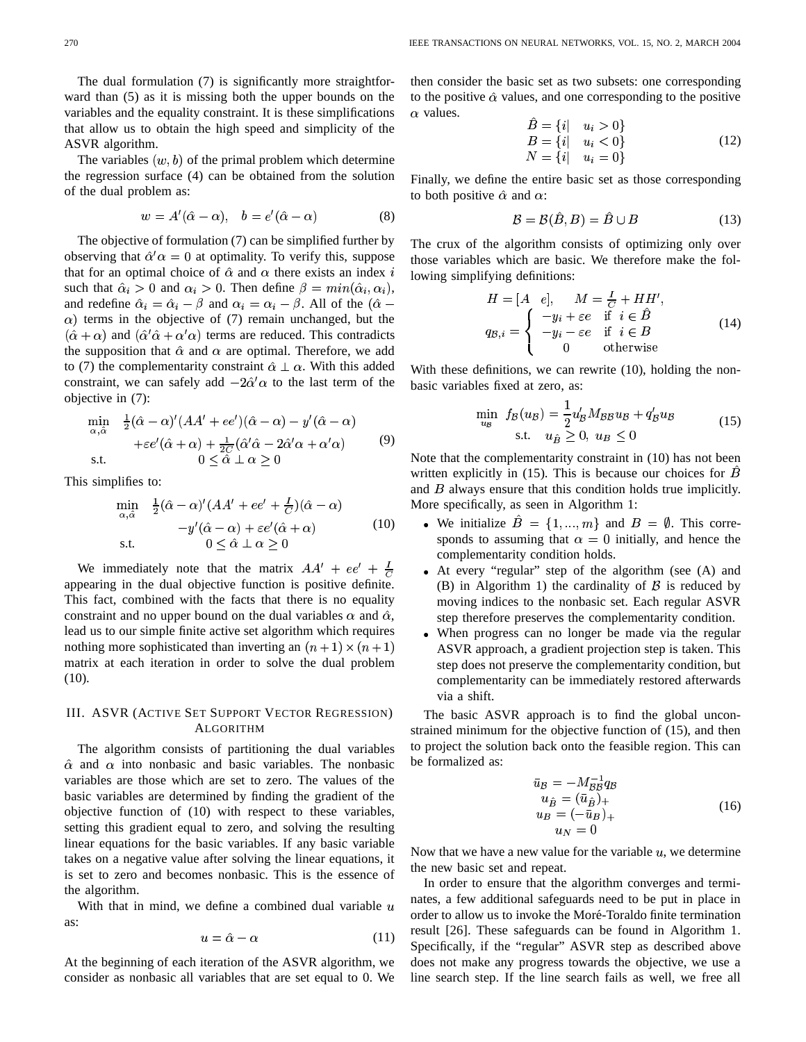The dual formulation (7) is significantly more straightforward than (5) as it is missing both the upper bounds on the variables and the equality constraint. It is these simplifications that allow us to obtain the high speed and simplicity of the ASVR algorithm.

The variables  $(w, b)$  of the primal problem which determine the regression surface (4) can be obtained from the solution of the dual problem as:

$$
w = A'(\hat{\alpha} - \alpha), \quad b = e'(\hat{\alpha} - \alpha) \tag{8}
$$

The objective of formulation (7) can be simplified further by observing that  $\hat{\alpha}'\alpha = 0$  at optimality. To verify this, suppose that for an optimal choice of  $\hat{\alpha}$  and  $\alpha$  there exists an index i low such that  $\hat{\alpha}_i > 0$  and  $\alpha_i > 0$ . Then define  $\beta = min(\hat{\alpha}_i, \alpha_i)$ , and redefine  $\hat{\alpha}_i = \hat{\alpha}_i - \beta$  and  $\alpha_i = \alpha_i - \beta$ . All of the  $(\hat{\alpha}$  $\alpha$ ) terms in the objective of (7) remain unchanged, but the  $(\hat{\alpha} + \alpha)$  and  $(\hat{\alpha}' \hat{\alpha} + \alpha' \alpha)$  terms are reduced. This contradicts the supposition that  $\hat{\alpha}$  and  $\alpha$  are optimal. Therefore, we add to (7) the complementarity constraint  $\hat{\alpha} \perp \alpha$ . With this added constraint, we can safely add  $-2\hat{\alpha}'\alpha$  to the last term of the objective in (7):

$$
\min_{\alpha,\hat{\alpha}} \quad \frac{1}{2}(\hat{\alpha} - \alpha)'(AA' + ee')(\hat{\alpha} - \alpha) - y'(\hat{\alpha} - \alpha) \n+ \varepsilon e'(\hat{\alpha} + \alpha) + \frac{1}{2C}(\hat{\alpha}'\hat{\alpha} - 2\hat{\alpha}'\alpha + \alpha'\alpha) \tag{9}
$$
\ns.t. 
$$
0 \leq \hat{\alpha} \perp \alpha \geq 0 \qquad \qquad \text{N}
$$

This simplifies to:

$$
\min_{\alpha,\hat{\alpha}} \quad \frac{1}{2}(\hat{\alpha} - \alpha)'(AA' + ee' + \frac{I}{C})(\hat{\alpha} - \alpha) \n-y'(\hat{\alpha} - \alpha) + \varepsilon e'(\hat{\alpha} + \alpha) \n\text{s.t.} \quad 0 \le \hat{\alpha} \perp \alpha \ge 0
$$
\n(10)

We immediately note that the matrix  $AA' + ee' + \frac{1}{C}$ appearing in the dual objective function is positive definite. This fact, combined with the facts that there is no equality constraint and no upper bound on the dual variables  $\alpha$  and  $\hat{\alpha}$ , step lead us to our simple finite active set algorithm which requires nothing more sophisticated than inverting an  $(n + 1) \times (n + 1)$ matrix at each iteration in order to solve the dual problem (10).

# III. ASVR (ACTIVE SET SUPPORT VECTOR REGRESSION) ALGORITHM

The algorithm consists of partitioning the dual variables  $\hat{\alpha}$  and  $\alpha$  into nonbasic and basic variables. The nonbasic variables are those which are set to zero. The values of the basic variables are determined by finding the gradient of the objective function of (10) with respect to these variables, setting this gradient equal to zero, and solving the resulting linear equations for the basic variables. If any basic variable takes on a negative value after solving the linear equations, it is set to zero and becomes nonbasic. This is the essence of the algorithm.

With that in mind, we define a combined dual variable  $u$ as:

$$
u = \hat{\alpha} - \alpha \tag{11}
$$

At the beginning of each iteration of the ASVR algorithm, we consider as nonbasic all variables that are set equal to 0. We then consider the basic set as two subsets: one corresponding to the positive  $\hat{\alpha}$  values, and one corresponding to the positive  $\alpha$  values. -

$$
B = \{i | u_i > 0\}B = \{i | u_i < 0\}N = \{i | u_i = 0\}
$$
(12)

Finally, we define the entire basic set as those corresponding to both positive  $\hat{\alpha}$  and  $\alpha$ :

$$
\mathcal{B} = \mathcal{B}(\hat{B}, B) = \hat{B} \cup B \tag{13}
$$

The crux of the algorithm consists of optimizing only over those variables which are basic. We therefore make the following simplifying definitions:

$$
H = [A \quad e], \qquad M = \frac{I}{C} + HH',
$$
  
\n
$$
q_{B,i} = \begin{cases} -y_i + \varepsilon e & \text{if } i \in \hat{B} \\ -y_i - \varepsilon e & \text{if } i \in B \\ 0 & \text{otherwise} \end{cases}
$$
 (14)

With these definitions, we can rewrite (10), holding the nonbasic variables fixed at zero, as:

$$
\min_{u_B} f_B(u_B) = \frac{1}{2} u'_B M_{BB} u_B + q'_B u_B
$$
\n
$$
\text{s.t.} \quad u_B \ge 0, \ u_B \le 0 \tag{15}
$$

Note that the complementarity constraint in (10) has not been written explicitly in (15). This is because our choices for  $\hat{B}$ and  $B$  always ensure that this condition holds true implicitly. More specifically, as seen in Algorithm 1:

- We initialize  $B = \{1, ..., m\}$  and  $B = \emptyset$ . This corresponds to assuming that  $\alpha = 0$  initially, and hence the complementarity condition holds.
- e. (B) in Algorithm 1) the cardinality of  $\beta$  is reduced by At every "regular" step of the algorithm (see (A) and moving indices to the nonbasic set. Each regular ASVR step therefore preserves the complementarity condition.
	- When progress can no longer be made via the regular ASVR approach, a gradient projection step is taken. This step does not preserve the complementarity condition, but complementarity can be immediately restored afterwards via a shift.

The basic ASVR approach is to find the global unconstrained minimum for the objective function of (15), and then to project the solution back onto the feasible region. This can be formalized as:

$$
\begin{aligned}\n\bar{u}_B &= -M_{BB}^{-1} q_B \\
u_{\hat{B}} &= (\bar{u}_{\hat{B}})_+ \\
u_B &= (-\bar{u}_B)_+ \\
u_N &= 0\n\end{aligned} \tag{16}
$$

Now that we have a new value for the variable  $u$ , we determine the new basic set and repeat.

In order to ensure that the algorithm converges and terminates, a few additional safeguards need to be put in place in order to allow us to invoke the Moré-Toraldo finite termination result [26]. These safeguards can be found in Algorithm 1. Specifically, if the "regular" ASVR step as described above does not make any progress towards the objective, we use a line search step. If the line search fails as well, we free all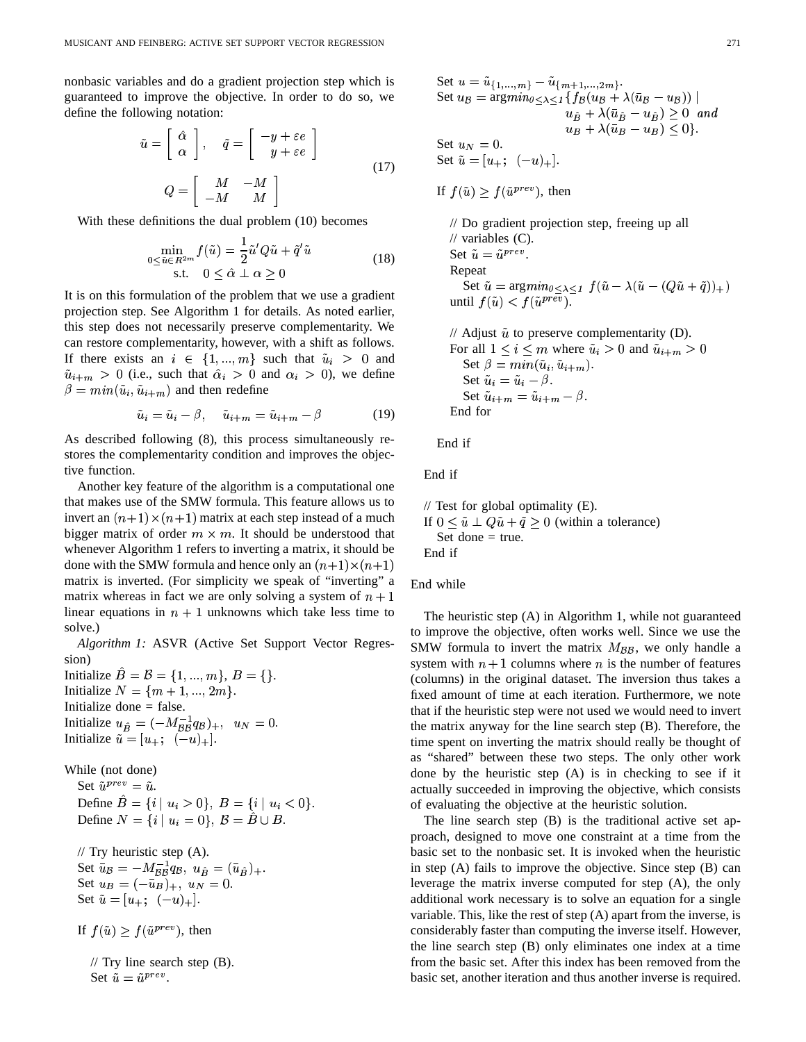nonbasic variables and do a gradient projection step which is guaranteed to improve the objective. In order to do so, we define the following notation:

$$
\tilde{u} = \begin{bmatrix} \hat{\alpha} \\ \alpha \end{bmatrix}, \quad \tilde{q} = \begin{bmatrix} -y + \varepsilon e \\ y + \varepsilon e \end{bmatrix}
$$
\n
$$
Q = \begin{bmatrix} M & -M \\ -M & M \end{bmatrix}
$$
\n(17)

With these definitions the dual problem (10) becomes

$$
\min_{\substack{0 \le \tilde{u} \in R^{2m} \\ \text{s.t.} \quad 0 \le \hat{\alpha} \perp \alpha \ge 0}} f(\tilde{u}) = \frac{1}{2} \tilde{u}' Q \tilde{u} + \tilde{q}' \tilde{u}
$$
\n
$$
(18)
$$

It is on this formulation of the problem that we use a gradient projection step. See Algorithm 1 for details. As noted earlier, this step does not necessarily preserve complementarity. We can restore complementarity, however, with a shift as follows. If there exists an  $i \in \{1, ..., m\}$  such that  $\tilde{u}_i > 0$  and  $\tilde{u}_{i+m} > 0$  (i.e., such that  $\hat{\alpha}_i > 0$  and  $\alpha_i > 0$ ), we define  $\beta = min(\tilde{u}_i, \tilde{u}_{i+m})$  and then redefine

$$
\tilde{u}_i = \tilde{u}_i - \beta, \quad \tilde{u}_{i+m} = \tilde{u}_{i+m} - \beta \tag{19}
$$

As described following (8), this process simultaneously restores the complementarity condition and improves the objective function.

Another key feature of the algorithm is a computational one that makes use of the SMW formula. This feature allows us to invert an  $(n+1) \times (n+1)$  matrix at each step instead of a much bigger matrix of order  $m \times m$ . It should be understood that whenever Algorithm 1 refers to inverting a matrix, it should be done with the SMW formula and hence only an  $(n+1) \times (n+1)$ matrix is inverted. (For simplicity we speak of "inverting" a matrix whereas in fact we are only solving a system of  $n + 1$ linear equations in  $n + 1$  unknowns which take less time to solve.)

*Algorithm 1:* ASVR (Active Set Support Vector Regression)

Initialize  $B = \{1, ..., m\}$ ,  $B = \{\}.$ Initialize  $N = \{m+1, ..., 2m\}.$ Initialize done = false. Initialize  $u_{\hat{B}} = (-M_{BB}^{-1}q_B)_{+}, u_N = 0.$ <br>Initialize  $\tilde{u} = [u_{+}; (-u)_{+}]$ .

While (not done)

Set  $\tilde{u}^{prev} = \tilde{u}$ . Define  $B = \{i \mid u_i > 0\}$ ,  $B = \{i \mid u_i < 0\}$ . Define  $N = \{i \mid u_i = 0\}, \mathcal{B} = B \cup B.$ 

 $\mathcal{U}$  Try heuristic step (A). Set  $\bar{u}_B = -M_{BB}^{-1}q_B$ ,  $u_B = (\bar{u}_B)_+$ . Set  $u_B = (-\bar{u}_B)_+, u_N = 0.$ Set  $\tilde{u} = [u_+; (-u)_+]$ .

If 
$$
f(\tilde{u}) \ge f(\tilde{u}^{prev})
$$
, then

// Try line search step (B). Set  $\tilde{u} = \tilde{u}^{prev}$ .

Set 
$$
u = \tilde{u}_{\{1,\ldots,m\}} - \tilde{u}_{\{m+1,\ldots,2m\}}
$$
.  
\nSet  $u_B = \operatorname{argmin}_{0 \leq \lambda \leq 1} \{ f_B(u_B + \lambda(\bar{u}_B - u_B)) \mid u_B + \lambda(\bar{u}_B - u_B) \geq 0 \text{ and } u_B + \lambda(\bar{u}_B - u_B) \leq 0 \}$ .  
\nSet  $u_N = 0$ .  
\nSet  $\tilde{u} = [u_+; (-u)_+]$ .

If  $f(\tilde{u}) > f(\tilde{u}^{prev})$ , then

// Do gradient projection step, freeing up all  $\mathcal{U}$  variables  $(C)$ . Set  $\tilde{u} = \tilde{u}^{prev}$ . Repeat Set  $\tilde{u} = \arg min_{0 \leq \lambda \leq 1} f(\tilde{u} - \lambda(\tilde{u} - (Q\tilde{u} + \tilde{q}))_{+})$ until  $f(\tilde{u}) < f(\tilde{u}^{pre\overline{v}})$ .

```
// Adjust \tilde{u} to preserve complementarity (D).
For all 1 \leq i \leq m where \tilde{u}_i > 0 and \tilde{u}_{i+m} > 0Set \beta = min(\tilde{u}_i, \tilde{u}_{i+m}).Set \tilde{u}_i = \tilde{u}_i - \beta.
   Set \tilde{u}_{i+m} = \tilde{u}_{i+m} - \beta.
End for
```
End if

End if

// Test for global optimality (E). If  $0 \leq \tilde{u} \perp Q\tilde{u} + \tilde{q} \geq 0$  (within a tolerance) Set done  $=$  true. End if

## End while

The heuristic step (A) in Algorithm 1, while not guaranteed to improve the objective, often works well. Since we use the SMW formula to invert the matrix  $M_{BB}$ , we only handle a system with  $n + 1$  columns where n is the number of features (columns) in the original dataset. The inversion thus takes a fixed amount of time at each iteration. Furthermore, we note that if the heuristic step were not used we would need to invert the matrix anyway for the line search step (B). Therefore, the time spent on inverting the matrix should really be thought of as "shared" between these two steps. The only other work done by the heuristic step (A) is in checking to see if it actually succeeded in improving the objective, which consists of evaluating the objective at the heuristic solution.

The line search step (B) is the traditional active set approach, designed to move one constraint at a time from the basic set to the nonbasic set. It is invoked when the heuristic in step (A) fails to improve the objective. Since step (B) can leverage the matrix inverse computed for step (A), the only additional work necessary is to solve an equation for a single variable. This, like the rest of step (A) apart from the inverse, is considerably faster than computing the inverse itself. However, the line search step (B) only eliminates one index at a time from the basic set. After this index has been removed from the basic set, another iteration and thus another inverse is required.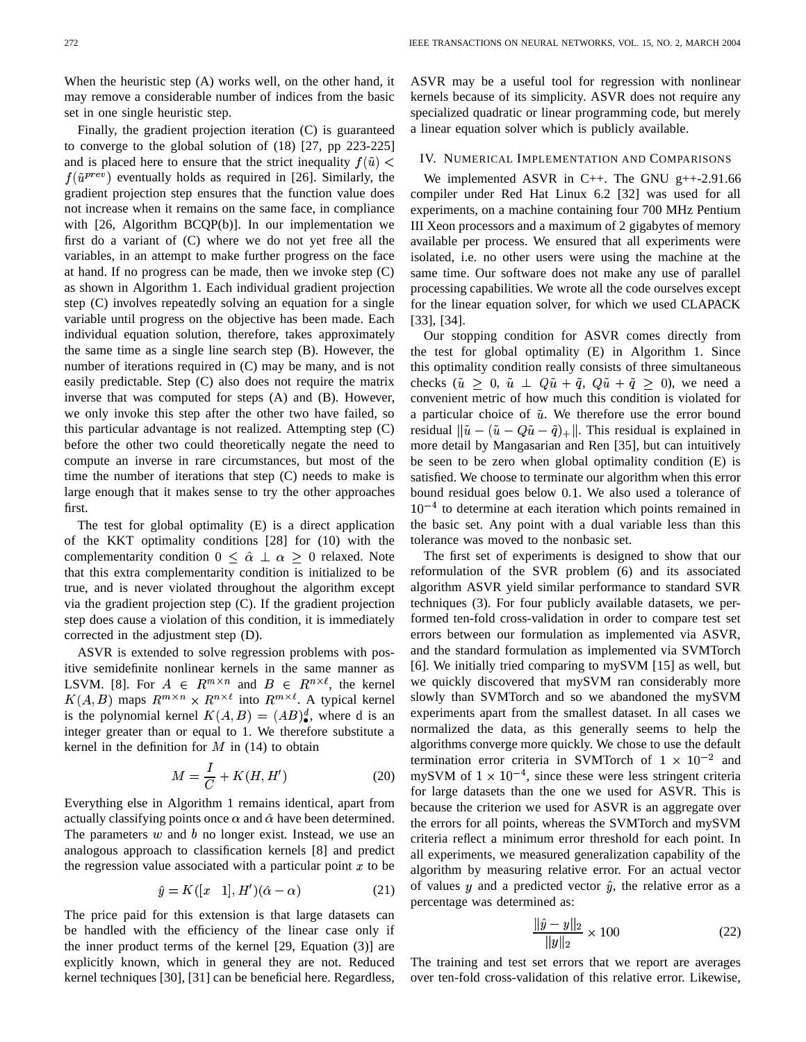When the heuristic step (A) works well, on the other hand, it may remove a considerable number of indices from the basic set in one single heuristic step.

Finally, the gradient projection iteration (C) is guaranteed to converge to the global solution of (18) [27, pp 223-225] and is placed here to ensure that the strict inequality  $f(\tilde{u}) <$  $f(\tilde{u}^{prev})$  eventually holds as required in [26]. Similarly, the gradient projection step ensures that the function value does not increase when it remains on the same face, in compliance with [26, Algorithm BCQP(b)]. In our implementation we first do a variant of (C) where we do not yet free all the variables, in an attempt to make further progress on the face at hand. If no progress can be made, then we invoke step (C) as shown in Algorithm 1. Each individual gradient projection step (C) involves repeatedly solving an equation for a single variable until progress on the objective has been made. Each individual equation solution, therefore, takes approximately the same time as a single line search step (B). However, the number of iterations required in (C) may be many, and is not easily predictable. Step (C) also does not require the matrix inverse that was computed for steps (A) and (B). However, we only invoke this step after the other two have failed, so this particular advantage is not realized. Attempting step (C) before the other two could theoretically negate the need to compute an inverse in rare circumstances, but most of the time the number of iterations that step (C) needs to make is large enough that it makes sense to try the other approaches first.

The test for global optimality (E) is a direct application of the KKT optimality conditions [28] for (10) with the complementarity condition  $0 \leq \hat{\alpha} \perp \alpha \geq 0$  relaxed. Note that this extra complementarity condition is initialized to be true, and is never violated throughout the algorithm except via the gradient projection step (C). If the gradient projection step does cause a violation of this condition, it is immediately corrected in the adjustment step (D).

ASVR is extended to solve regression problems with positive semidefinite nonlinear kernels in the same manner as LSVM. [8]. For  $A \in R^{m \times n}$  and  $B \in R^{n \times \ell}$ , the kernel  $K(A, B)$  maps  $R^{m \times n} \times R^{n \times \ell}$  into  $R^{m \times \ell}$ . A typical kernel is the polynomial kernel  $K(A, B) = (AB)^d_{\bullet}$ , where d is an integer greater than or equal to 1. We therefore substitute a kernel in the definition for  $M$  in (14) to obtain

$$
M = \frac{I}{C} + K(H, H')
$$
\n(20)

Everything else in Algorithm 1 remains identical, apart from actually classifying points once  $\alpha$  and  $\hat{\alpha}$  have been determined. The parameters  $w$  and  $b$  no longer exist. Instead, we use an analogous approach to classification kernels [8] and predict the regression value associated with a particular point  $x$  to be  $\overline{a}$ 

$$
\hat{y} = K([x \quad 1], H')(\hat{\alpha} - \alpha) \tag{21}
$$

The price paid for this extension is that large datasets can be handled with the efficiency of the linear case only if the inner product terms of the kernel [29, Equation (3)] are explicitly known, which in general they are not. Reduced kernel techniques [30], [31] can be beneficial here. Regardless, ASVR may be a useful tool for regression with nonlinear kernels because of its simplicity. ASVR does not require any specialized quadratic or linear programming code, but merely a linear equation solver which is publicly available.

### IV. NUMERICAL IMPLEMENTATION AND COMPARISONS

We implemented ASVR in C++. The GNU g++-2.91.66 compiler under Red Hat Linux 6.2 [32] was used for all experiments, on a machine containing four 700 MHz Pentium III Xeon processors and a maximum of 2 gigabytes of memory available per process. We ensured that all experiments were isolated, i.e. no other users were using the machine at the same time. Our software does not make any use of parallel processing capabilities. We wrote all the code ourselves except for the linear equation solver, for which we used CLAPACK [33], [34].

Our stopping condition for ASVR comes directly from the test for global optimality (E) in Algorithm 1. Since this optimality condition really consists of three simultaneous checks  $(\tilde{u} \geq 0, \tilde{u} \perp Q\tilde{u} + \tilde{q}, Q\tilde{u} + \tilde{q} \geq 0)$ , we need a convenient metric of how much this condition is violated for a particular choice of  $\tilde{u}$ . We therefore use the error bound residual  $\|\tilde{u} - (\tilde{u} - Q\tilde{u} - \tilde{q})_+\|$ . This residual is explained in more detail by Mangasarian and Ren [35], but can intuitively be seen to be zero when global optimality condition (E) is satisfied. We choose to terminate our algorithm when this error bound residual goes below  $0.1$ . We also used a tolerance of <sup>4</sup> to determine at each iteration which points remained in the basic set. Any point with a dual variable less than this tolerance was moved to the nonbasic set.

The first set of experiments is designed to show that our reformulation of the SVR problem (6) and its associated algorithm ASVR yield similar performance to standard SVR techniques (3). For four publicly available datasets, we performed ten-fold cross-validation in order to compare test set errors between our formulation as implemented via ASVR, and the standard formulation as implemented via SVMTorch [6]. We initially tried comparing to mySVM [15] as well, but we quickly discovered that mySVM ran considerably more slowly than SVMTorch and so we abandoned the mySVM experiments apart from the smallest dataset. In all cases we normalized the data, as this generally seems to help the algorithms converge more quickly. We chose to use the default termination error criteria in SVMTorch of  $1 \times 10^{-2}$  and mySVM of  $1 \times 10^{-4}$ , since these were less stringent criteria for large datasets than the one we used for ASVR. This is because the criterion we used for ASVR is an aggregate over the errors for all points, whereas the SVMTorch and mySVM criteria reflect a minimum error threshold for each point. In all experiments, we measured generalization capability of the algorithm by measuring relative error. For an actual vector of values  $y$  and a predicted vector  $\hat{y}$ , the relative error as a percentage was determined as:

$$
\frac{\|\hat{y} - y\|_2}{\|y\|_2} \times 100
$$
 (22)

The training and test set errors that we report are averages over ten-fold cross-validation of this relative error. Likewise,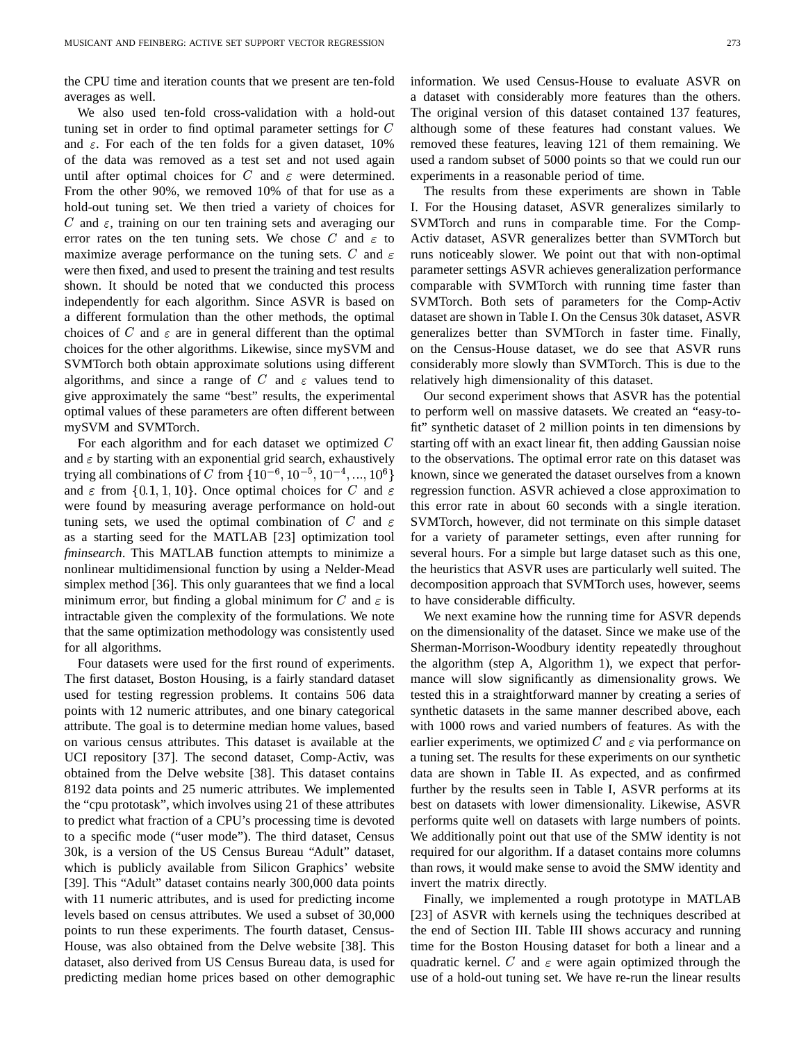the CPU time and iteration counts that we present are ten-fold averages as well.

We also used ten-fold cross-validation with a hold-out tuning set in order to find optimal parameter settings for  $C$ and  $\varepsilon$ . For each of the ten folds for a given dataset, 10% of the data was removed as a test set and not used again until after optimal choices for C and  $\varepsilon$  were determined. From the other 90%, we removed 10% of that for use as a hold-out tuning set. We then tried a variety of choices for C and  $\varepsilon$ , training on our ten training sets and averaging our error rates on the ten tuning sets. We chose C and  $\varepsilon$  to Ac maximize average performance on the tuning sets. C and  $\varepsilon$ were then fixed, and used to present the training and test results shown. It should be noted that we conducted this process independently for each algorithm. Since ASVR is based on a different formulation than the other methods, the optimal choices of C and  $\varepsilon$  are in general different than the optimal choices for the other algorithms. Likewise, since mySVM and SVMTorch both obtain approximate solutions using different algorithms, and since a range of C and  $\varepsilon$  values tend to give approximately the same "best" results, the experimental optimal values of these parameters are often different between mySVM and SVMTorch.

For each algorithm and for each dataset we optimized  $C$ and  $\epsilon$  by starting with an exponential grid search, exhaustively trying all combinations of C from  $\{10^{-6}, 10^{-5}, 10^{-4}, \dots\}$ - - -, – – , , , , , – – , , /54G4G4b/ 6 <sup>9</sup> and  $\varepsilon$  from  $\{0.1, 1, 10\}$ . Once optimal choices for C and  $\varepsilon$ were found by measuring average performance on hold-out tuning sets, we used the optimal combination of C and  $\varepsilon$ as a starting seed for the MATLAB [23] optimization tool *fminsearch*. This MATLAB function attempts to minimize a nonlinear multidimensional function by using a Nelder-Mead simplex method [36]. This only guarantees that we find a local minimum error, but finding a global minimum for C and  $\varepsilon$  is to h intractable given the complexity of the formulations. We note that the same optimization methodology was consistently used for all algorithms.

Four datasets were used for the first round of experiments. The first dataset, Boston Housing, is a fairly standard dataset used for testing regression problems. It contains 506 data points with 12 numeric attributes, and one binary categorical attribute. The goal is to determine median home values, based on various census attributes. This dataset is available at the UCI repository [37]. The second dataset, Comp-Activ, was obtained from the Delve website [38]. This dataset contains 8192 data points and 25 numeric attributes. We implemented the "cpu prototask", which involves using 21 of these attributes to predict what fraction of a CPU's processing time is devoted to a specific mode ("user mode"). The third dataset, Census 30k, is a version of the US Census Bureau "Adult" dataset, which is publicly available from Silicon Graphics' website [39]. This "Adult" dataset contains nearly 300,000 data points with 11 numeric attributes, and is used for predicting income levels based on census attributes. We used a subset of 30,000 points to run these experiments. The fourth dataset, Census-House, was also obtained from the Delve website [38]. This dataset, also derived from US Census Bureau data, is used for predicting median home prices based on other demographic information. We used Census-House to evaluate ASVR on a dataset with considerably more features than the others. The original version of this dataset contained 137 features, although some of these features had constant values. We removed these features, leaving 121 of them remaining. We used a random subset of 5000 points so that we could run our experiments in a reasonable period of time.

and  $\varepsilon$  runs noticeably slower. We point out that with non-optimal The results from these experiments are shown in Table I. For the Housing dataset, ASVR generalizes similarly to SVMTorch and runs in comparable time. For the Comp-Activ dataset, ASVR generalizes better than SVMTorch but parameter settings ASVR achieves generalization performance comparable with SVMTorch with running time faster than SVMTorch. Both sets of parameters for the Comp-Activ dataset are shown in Table I. On the Census 30k dataset, ASVR generalizes better than SVMTorch in faster time. Finally, on the Census-House dataset, we do see that ASVR runs considerably more slowly than SVMTorch. This is due to the relatively high dimensionality of this dataset.

and  $\varepsilon$  regression function. ASVR achieved a close approximation to and  $\varepsilon$  SVMTorch, however, did not terminate on this simple dataset Our second experiment shows that ASVR has the potential to perform well on massive datasets. We created an "easy-tofit" synthetic dataset of 2 million points in ten dimensions by starting off with an exact linear fit, then adding Gaussian noise to the observations. The optimal error rate on this dataset was known, since we generated the dataset ourselves from a known this error rate in about 60 seconds with a single iteration. for a variety of parameter settings, even after running for several hours. For a simple but large dataset such as this one, the heuristics that ASVR uses are particularly well suited. The decomposition approach that SVMTorch uses, however, seems to have considerable difficulty.

> We next examine how the running time for ASVR depends on the dimensionality of the dataset. Since we make use of the Sherman-Morrison-Woodbury identity repeatedly throughout the algorithm (step A, Algorithm 1), we expect that performance will slow significantly as dimensionality grows. We tested this in a straightforward manner by creating a series of synthetic datasets in the same manner described above, each with 1000 rows and varied numbers of features. As with the earlier experiments, we optimized C and  $\varepsilon$  via performance on a tuning set. The results for these experiments on our synthetic data are shown in Table II. As expected, and as confirmed further by the results seen in Table I, ASVR performs at its best on datasets with lower dimensionality. Likewise, ASVR performs quite well on datasets with large numbers of points. We additionally point out that use of the SMW identity is not required for our algorithm. If a dataset contains more columns than rows, it would make sense to avoid the SMW identity and invert the matrix directly.

> Finally, we implemented a rough prototype in MATLAB [23] of ASVR with kernels using the techniques described at the end of Section III. Table III shows accuracy and running time for the Boston Housing dataset for both a linear and a quadratic kernel. C and  $\varepsilon$  were again optimized through the use of a hold-out tuning set. We have re-run the linear results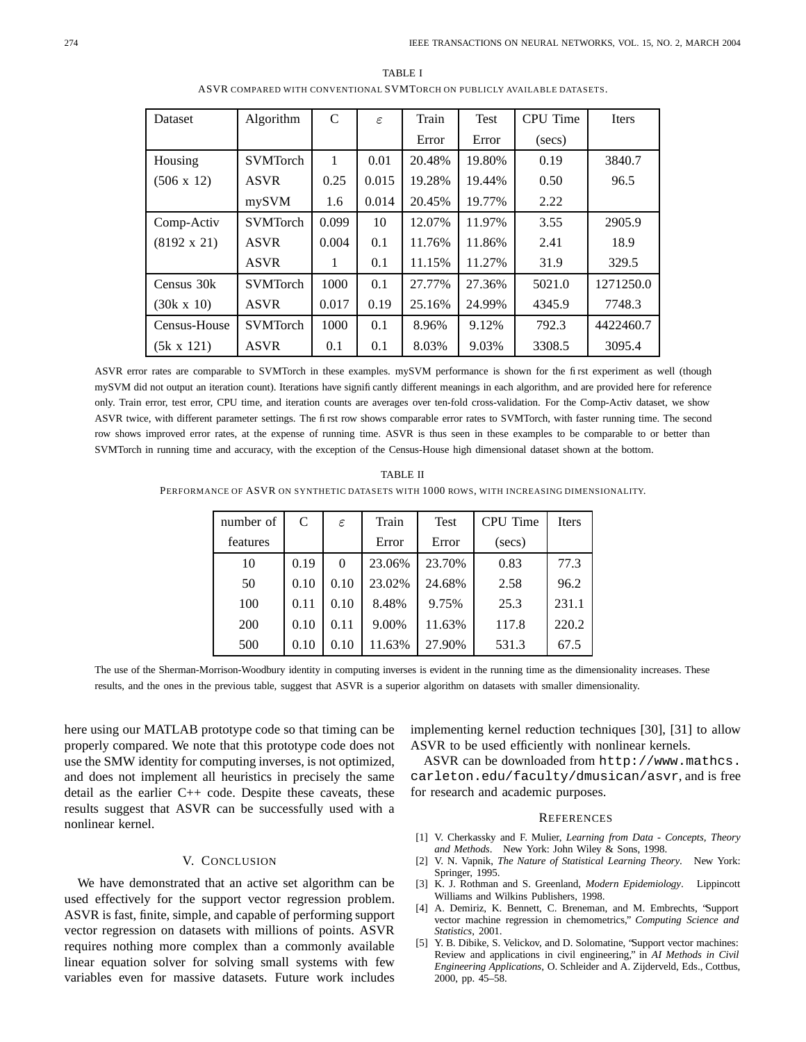| Dataset            | Algorithm       | $\mathcal{C}$ | ε     | Train  | Test   | CPU Time | Iters     |
|--------------------|-----------------|---------------|-------|--------|--------|----------|-----------|
|                    |                 |               |       | Error  | Error  | (secs)   |           |
| Housing            | <b>SVMTorch</b> | 1             | 0.01  | 20.48% | 19.80% | 0.19     | 3840.7    |
| $(506 \times 12)$  | <b>ASVR</b>     | 0.25          | 0.015 | 19.28% | 19.44% | 0.50     | 96.5      |
|                    | mySVM           | 1.6           | 0.014 | 20.45% | 19.77% | 2.22     |           |
| Comp-Activ         | <b>SVMTorch</b> | 0.099         | 10    | 12.07% | 11.97% | 3.55     | 2905.9    |
| $(8192 \times 21)$ | <b>ASVR</b>     | 0.004         | 0.1   | 11.76% | 11.86% | 2.41     | 18.9      |
|                    | <b>ASVR</b>     | 1             | 0.1   | 11.15% | 11.27% | 31.9     | 329.5     |
| Census 30k         | <b>SVMTorch</b> | 1000          | 0.1   | 27.77% | 27.36% | 5021.0   | 1271250.0 |
| $(30k \times 10)$  | <b>ASVR</b>     | 0.017         | 0.19  | 25.16% | 24.99% | 4345.9   | 7748.3    |
| Census-House       | <b>SVMTorch</b> | 1000          | 0.1   | 8.96%  | 9.12%  | 792.3    | 4422460.7 |
| (5k x 121)         | <b>ASVR</b>     | 0.1           | 0.1   | 8.03%  | 9.03%  | 3308.5   | 3095.4    |

TABLE I ASVR COMPARED WITH CONVENTIONAL SVMTORCH ON PUBLICLY AVAILABLE DATASETS.

ASVR error rates are comparable to SVMTorch in these examples. mySVM performance is shown for the first experiment as well (though mySVM did not output an iteration count). Iterations have significantly different meanings in each algorithm, and are provided here for reference only. Train error, test error, CPU time, and iteration counts are averages over ten-fold cross-validation. For the Comp-Activ dataset, we show ASVR twice, with different parameter settings. The first row shows comparable error rates to SVMTorch, with faster running time. The second row shows improved error rates, at the expense of running time. ASVR is thus seen in these examples to be comparable to or better than SVMTorch in running time and accuracy, with the exception of the Census-House high dimensional dataset shown at the bottom.

TABLE II PERFORMANCE OF ASVR ON SYNTHETIC DATASETS WITH 1000 ROWS, WITH INCREASING DIMENSIONALITY.

| number of | C    | $\varepsilon$ | Train  | <b>Test</b> | CPU Time | <b>Iters</b> |
|-----------|------|---------------|--------|-------------|----------|--------------|
| features  |      |               | Error  | Error       | (secs)   |              |
| 10        | 0.19 | $\theta$      | 23.06% | 23.70%      | 0.83     | 77.3         |
| 50        | 0.10 | 0.10          | 23.02% | 24.68%      | 2.58     | 96.2         |
| 100       | 0.11 | 0.10          | 8.48%  | 9.75%       | 25.3     | 231.1        |
| 200       | 0.10 | 0.11          | 9.00%  | 11.63%      | 117.8    | 220.2        |
| 500       | 0.10 | 0.10          | 11.63% | 27.90%      | 531.3    | 67.5         |

The use of the Sherman-Morrison-Woodbury identity in computing inverses is evident in the running time as the dimensionality increases. These results, and the ones in the previous table, suggest that ASVR is a superior algorithm on datasets with smaller dimensionality.

here using our MATLAB prototype code so that timing can be properly compared. We note that this prototype code does not use the SMW identity for computing inverses, is not optimized, and does not implement all heuristics in precisely the same detail as the earlier C++ code. Despite these caveats, these results suggest that ASVR can be successfully used with a nonlinear kernel.

# V. CONCLUSION

We have demonstrated that an active set algorithm can be used effectively for the support vector regression problem. ASVR is fast, finite, simple, and capable of performing support vector regression on datasets with millions of points. ASVR requires nothing more complex than a commonly available linear equation solver for solving small systems with few variables even for massive datasets. Future work includes implementing kernel reduction techniques [30], [31] to allow ASVR to be used efficiently with nonlinear kernels.

ASVR can be downloaded from http://www.mathcs. carleton.edu/faculty/dmusican/asvr, and is free for research and academic purposes.

#### **REFERENCES**

- [1] V. Cherkassky and F. Mulier, *Learning from Data - Concepts, Theory and Methods*. New York: John Wiley & Sons, 1998.
- [2] V. N. Vapnik, *The Nature of Statistical Learning Theory*. New York: Springer, 1995.
- [3] K. J. Rothman and S. Greenland, *Modern Epidemiology*. Lippincott Williams and Wilkins Publishers, 1998.
- [4] A. Demiriz, K. Bennett, C. Breneman, and M. Embrechts, "Support vector machine regression in chemometrics," *Computing Science and Statistics*, 2001.
- [5] Y. B. Dibike, S. Velickov, and D. Solomatine, "Support vector machines: Review and applications in civil engineering," in *AI Methods in Civil Engineering Applications*, O. Schleider and A. Zijderveld, Eds., Cottbus, 2000, pp. 45–58.